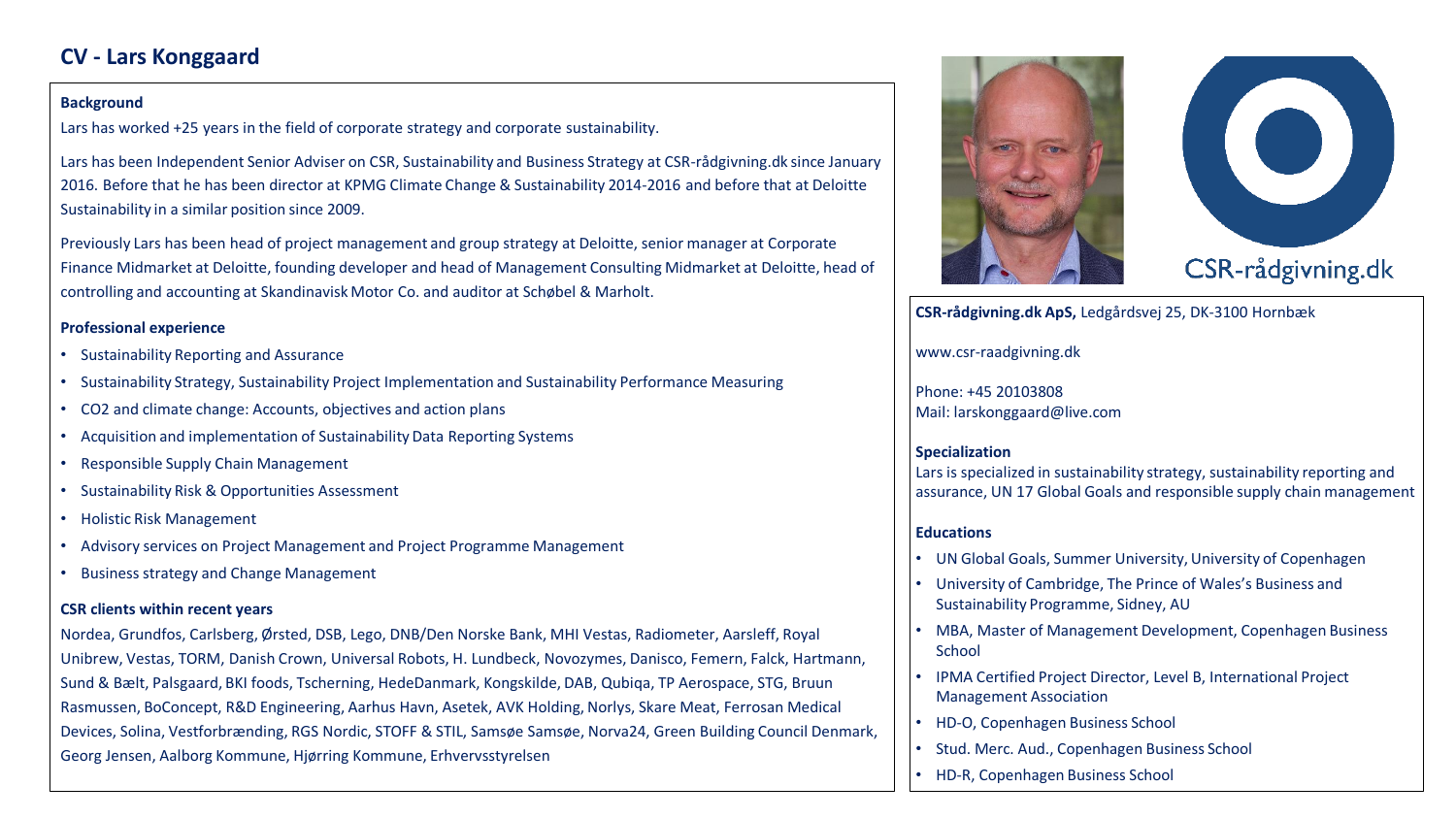# **CV - Lars Konggaard**

#### **Background**

Lars has worked +25 years in the field of corporate strategy and corporate sustainability.

Lars has been Independent Senior Adviser on CSR, Sustainability and Business Strategy at CSR-rådgivning.dk since January 2016. Before that he has been director at KPMG Climate Change & Sustainability 2014-2016 and before that at Deloitte Sustainability in a similar position since 2009.

Previously Lars has been head of project management and group strategy at Deloitte, senior manager at Corporate Finance Midmarket at Deloitte, founding developer and head of Management Consulting Midmarket at Deloitte, head of controlling and accounting at Skandinavisk Motor Co. and auditor at Schøbel & Marholt.

### **Professional experience**

- Sustainability Reporting and Assurance
- Sustainability Strategy, Sustainability Project Implementation and Sustainability Performance Measuring
- CO2 and climate change: Accounts, objectives and action plans
- Acquisition and implementation of Sustainability Data Reporting Systems
- Responsible Supply Chain Management
- Sustainability Risk & Opportunities Assessment
- Holistic Risk Management
- Advisory services on Project Management and Project Programme Management
- Business strategy and Change Management

### **CSR clients within recent years**

Nordea, Grundfos, Carlsberg, Ørsted, DSB, Lego, DNB/Den Norske Bank, MHI Vestas, Radiometer, Aarsleff, Royal Unibrew, Vestas, TORM, Danish Crown, Universal Robots, H. Lundbeck, Novozymes, Danisco, Femern, Falck, Hartmann, Sund & Bælt, Palsgaard, BKI foods, Tscherning, HedeDanmark, Kongskilde, DAB, Qubiqa, TP Aerospace, STG, Bruun Rasmussen, BoConcept, R&D Engineering, Aarhus Havn, Asetek, AVK Holding, Norlys, Skare Meat, Ferrosan Medical Devices, Solina, Vestforbrænding, RGS Nordic, STOFF & STIL, Samsøe Samsøe, Norva24, Green Building Council Denmark, Georg Jensen, Aalborg Kommune, Hjørring Kommune, Erhvervsstyrelsen





**CSR-rådgivning.dk ApS,** Ledgårdsvej 25, DK-3100 Hornbæk

www.csr-raadgivning.dk

Phone: +45 20103808 Mail: larskonggaard@live.com

## **Specialization**

Lars is specialized in sustainability strategy, sustainability reporting and assurance, UN 17 Global Goals and responsible supply chain management

## **Educations**

- UN Global Goals, Summer University, University of Copenhagen
- University of Cambridge, The Prince of Wales's Business and Sustainability Programme, Sidney, AU
- MBA, Master of Management Development, Copenhagen Business **School**
- IPMA Certified Project Director, Level B, International Project Management Association
- HD-O, Copenhagen Business School
- Stud. Merc. Aud., Copenhagen Business School
- HD-R, Copenhagen Business School